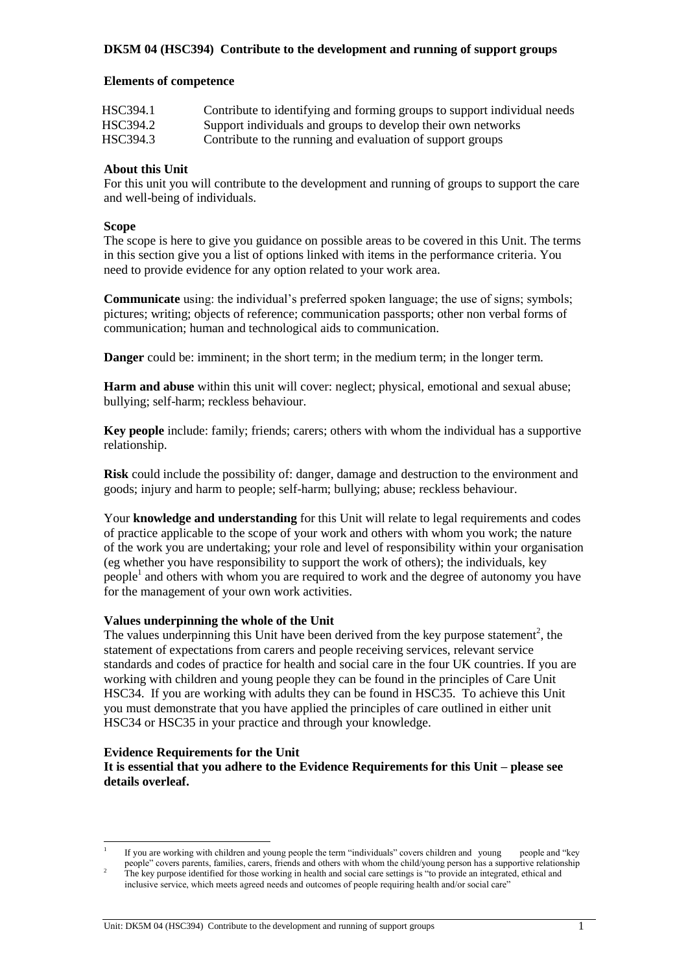### **Elements of competence**

| HSC394.1 | Contribute to identifying and forming groups to support individual needs |
|----------|--------------------------------------------------------------------------|
| HSC394.2 | Support individuals and groups to develop their own networks             |
| HSC394.3 | Contribute to the running and evaluation of support groups               |

## **About this Unit**

For this unit you will contribute to the development and running of groups to support the care and well-being of individuals.

#### **Scope**

The scope is here to give you guidance on possible areas to be covered in this Unit. The terms in this section give you a list of options linked with items in the performance criteria. You need to provide evidence for any option related to your work area.

**Communicate** using: the individual's preferred spoken language; the use of signs; symbols; pictures; writing; objects of reference; communication passports; other non verbal forms of communication; human and technological aids to communication.

**Danger** could be: imminent; in the short term; in the medium term; in the longer term.

**Harm and abuse** within this unit will cover: neglect; physical, emotional and sexual abuse; bullying; self-harm; reckless behaviour.

**Key people** include: family; friends; carers; others with whom the individual has a supportive relationship.

**Risk** could include the possibility of: danger, damage and destruction to the environment and goods; injury and harm to people; self-harm; bullying; abuse; reckless behaviour.

Your **knowledge and understanding** for this Unit will relate to legal requirements and codes of practice applicable to the scope of your work and others with whom you work; the nature of the work you are undertaking; your role and level of responsibility within your organisation (eg whether you have responsibility to support the work of others); the individuals, key people<sup>1</sup> and others with whom you are required to work and the degree of autonomy you have for the management of your own work activities.

#### **Values underpinning the whole of the Unit**

The values underpinning this Unit have been derived from the key purpose statement<sup>2</sup>, the statement of expectations from carers and people receiving services, relevant service standards and codes of practice for health and social care in the four UK countries. If you are working with children and young people they can be found in the principles of Care Unit HSC34. If you are working with adults they can be found in HSC35. To achieve this Unit you must demonstrate that you have applied the principles of care outlined in either unit HSC34 or HSC35 in your practice and through your knowledge.

#### **Evidence Requirements for the Unit**

l

**It is essential that you adhere to the Evidence Requirements for this Unit – please see details overleaf.** 

<sup>1</sup> If you are working with children and young people the term "individuals" covers children and young people and "key people" covers parents, families, carers, friends and others with whom the child/young person has a supportive relationship

<sup>&</sup>lt;sup>2</sup> The key purpose identified for those working in health and social care settings is "to provide an integrated, ethical and inclusive service, which meets agreed needs and outcomes of people requiring health and/or social care"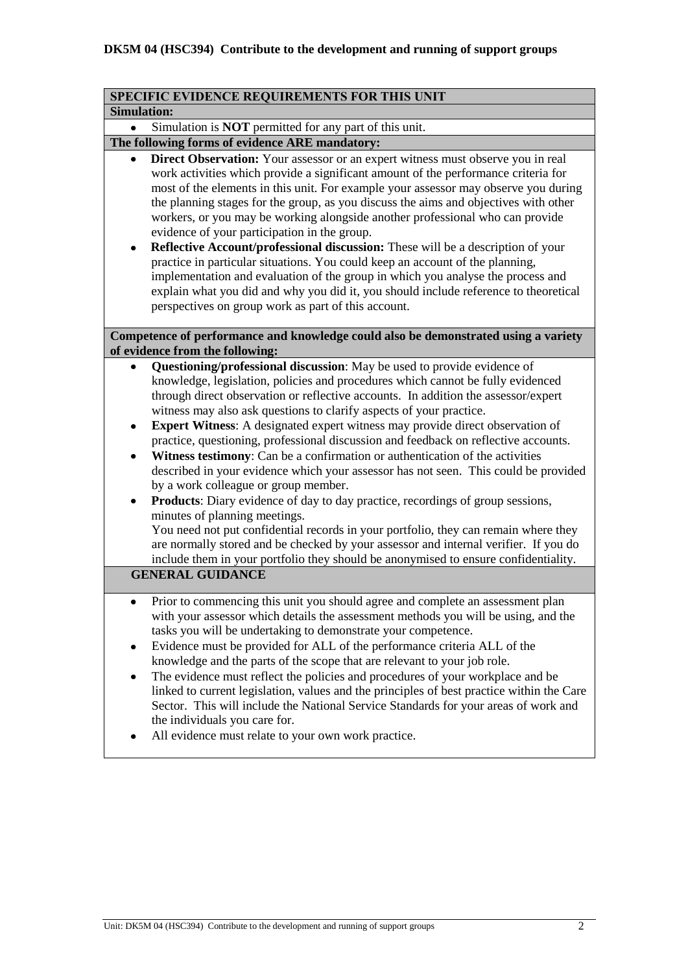| SPECIFIC EVIDENCE REQUIREMENTS FOR THIS UNIT                                                                                                                                                                                                                                                                                                                                                                                                                                                                                                                                                                                                                                                                                                                                                                                                                                                                                                                                                                                                                                                                                                             |
|----------------------------------------------------------------------------------------------------------------------------------------------------------------------------------------------------------------------------------------------------------------------------------------------------------------------------------------------------------------------------------------------------------------------------------------------------------------------------------------------------------------------------------------------------------------------------------------------------------------------------------------------------------------------------------------------------------------------------------------------------------------------------------------------------------------------------------------------------------------------------------------------------------------------------------------------------------------------------------------------------------------------------------------------------------------------------------------------------------------------------------------------------------|
| <b>Simulation:</b>                                                                                                                                                                                                                                                                                                                                                                                                                                                                                                                                                                                                                                                                                                                                                                                                                                                                                                                                                                                                                                                                                                                                       |
| Simulation is <b>NOT</b> permitted for any part of this unit.                                                                                                                                                                                                                                                                                                                                                                                                                                                                                                                                                                                                                                                                                                                                                                                                                                                                                                                                                                                                                                                                                            |
| The following forms of evidence ARE mandatory:                                                                                                                                                                                                                                                                                                                                                                                                                                                                                                                                                                                                                                                                                                                                                                                                                                                                                                                                                                                                                                                                                                           |
| Direct Observation: Your assessor or an expert witness must observe you in real<br>work activities which provide a significant amount of the performance criteria for<br>most of the elements in this unit. For example your assessor may observe you during<br>the planning stages for the group, as you discuss the aims and objectives with other<br>workers, or you may be working alongside another professional who can provide<br>evidence of your participation in the group.<br>Reflective Account/professional discussion: These will be a description of your<br>practice in particular situations. You could keep an account of the planning,<br>implementation and evaluation of the group in which you analyse the process and<br>explain what you did and why you did it, you should include reference to theoretical<br>perspectives on group work as part of this account.                                                                                                                                                                                                                                                              |
| Competence of performance and knowledge could also be demonstrated using a variety<br>of evidence from the following:                                                                                                                                                                                                                                                                                                                                                                                                                                                                                                                                                                                                                                                                                                                                                                                                                                                                                                                                                                                                                                    |
| Questioning/professional discussion: May be used to provide evidence of<br>knowledge, legislation, policies and procedures which cannot be fully evidenced<br>through direct observation or reflective accounts. In addition the assessor/expert<br>witness may also ask questions to clarify aspects of your practice.<br>Expert Witness: A designated expert witness may provide direct observation of<br>٠<br>practice, questioning, professional discussion and feedback on reflective accounts.<br>Witness testimony: Can be a confirmation or authentication of the activities<br>٠<br>described in your evidence which your assessor has not seen. This could be provided<br>by a work colleague or group member.<br><b>Products:</b> Diary evidence of day to day practice, recordings of group sessions,<br>٠<br>minutes of planning meetings.<br>You need not put confidential records in your portfolio, they can remain where they<br>are normally stored and be checked by your assessor and internal verifier. If you do<br>include them in your portfolio they should be anonymised to ensure confidentiality.<br><b>GENERAL GUIDANCE</b> |
| Prior to commencing this unit you should agree and complete an assessment plan<br>with your assessor which details the assessment methods you will be using, and the<br>tasks you will be undertaking to demonstrate your competence.<br>Evidence must be provided for ALL of the performance criteria ALL of the<br>٠<br>knowledge and the parts of the scope that are relevant to your job role.<br>The evidence must reflect the policies and procedures of your workplace and be<br>٠<br>linked to current legislation, values and the principles of best practice within the Care<br>Sector. This will include the National Service Standards for your areas of work and<br>the individuals you care for.<br>All evidence must relate to your own work practice.                                                                                                                                                                                                                                                                                                                                                                                    |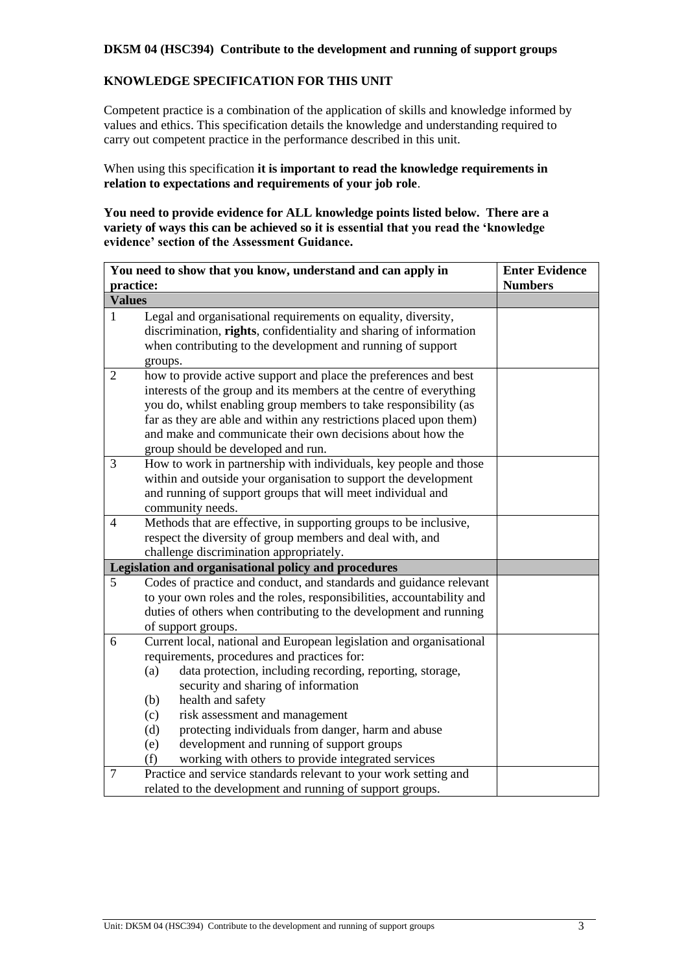# **KNOWLEDGE SPECIFICATION FOR THIS UNIT**

Competent practice is a combination of the application of skills and knowledge informed by values and ethics. This specification details the knowledge and understanding required to carry out competent practice in the performance described in this unit.

When using this specification **it is important to read the knowledge requirements in relation to expectations and requirements of your job role**.

**You need to provide evidence for ALL knowledge points listed below. There are a variety of ways this can be achieved so it is essential that you read the 'knowledge evidence' section of the Assessment Guidance.**

|                          | You need to show that you know, understand and can apply in                                                                                                                                                                                                                                                                                                                                                                                                                      | <b>Enter Evidence</b> |
|--------------------------|----------------------------------------------------------------------------------------------------------------------------------------------------------------------------------------------------------------------------------------------------------------------------------------------------------------------------------------------------------------------------------------------------------------------------------------------------------------------------------|-----------------------|
| practice:                |                                                                                                                                                                                                                                                                                                                                                                                                                                                                                  | <b>Numbers</b>        |
| <b>Values</b>            |                                                                                                                                                                                                                                                                                                                                                                                                                                                                                  |                       |
| $\mathbf{1}$             | Legal and organisational requirements on equality, diversity,<br>discrimination, rights, confidentiality and sharing of information<br>when contributing to the development and running of support<br>groups.                                                                                                                                                                                                                                                                    |                       |
| $\overline{2}$           | how to provide active support and place the preferences and best<br>interests of the group and its members at the centre of everything<br>you do, whilst enabling group members to take responsibility (as<br>far as they are able and within any restrictions placed upon them)<br>and make and communicate their own decisions about how the<br>group should be developed and run.                                                                                             |                       |
| 3                        | How to work in partnership with individuals, key people and those<br>within and outside your organisation to support the development<br>and running of support groups that will meet individual and<br>community needs.                                                                                                                                                                                                                                                          |                       |
| $\overline{\mathcal{A}}$ | Methods that are effective, in supporting groups to be inclusive,<br>respect the diversity of group members and deal with, and<br>challenge discrimination appropriately.                                                                                                                                                                                                                                                                                                        |                       |
|                          | Legislation and organisational policy and procedures                                                                                                                                                                                                                                                                                                                                                                                                                             |                       |
| 5                        | Codes of practice and conduct, and standards and guidance relevant<br>to your own roles and the roles, responsibilities, accountability and<br>duties of others when contributing to the development and running<br>of support groups.                                                                                                                                                                                                                                           |                       |
| 6                        | Current local, national and European legislation and organisational<br>requirements, procedures and practices for:<br>data protection, including recording, reporting, storage,<br>(a)<br>security and sharing of information<br>(b)<br>health and safety<br>risk assessment and management<br>(c)<br>protecting individuals from danger, harm and abuse<br>(d)<br>development and running of support groups<br>(e)<br>working with others to provide integrated services<br>(f) |                       |
| 7                        | Practice and service standards relevant to your work setting and<br>related to the development and running of support groups.                                                                                                                                                                                                                                                                                                                                                    |                       |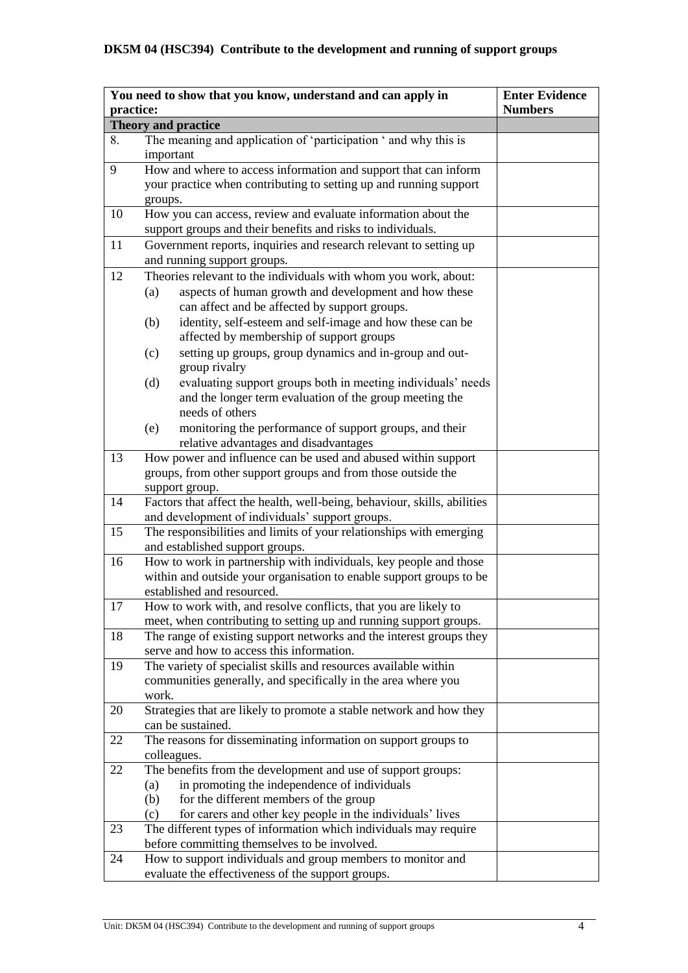|           | You need to show that you know, understand and can apply in                                                                                                                                                                                          | <b>Enter Evidence</b> |
|-----------|------------------------------------------------------------------------------------------------------------------------------------------------------------------------------------------------------------------------------------------------------|-----------------------|
| practice: |                                                                                                                                                                                                                                                      | <b>Numbers</b>        |
|           | Theory and practice                                                                                                                                                                                                                                  |                       |
| 8.        | The meaning and application of 'participation ' and why this is<br>important                                                                                                                                                                         |                       |
| 9         | How and where to access information and support that can inform<br>your practice when contributing to setting up and running support<br>groups.                                                                                                      |                       |
| 10        | How you can access, review and evaluate information about the<br>support groups and their benefits and risks to individuals.                                                                                                                         |                       |
| 11        | Government reports, inquiries and research relevant to setting up                                                                                                                                                                                    |                       |
|           | and running support groups.                                                                                                                                                                                                                          |                       |
| 12        | Theories relevant to the individuals with whom you work, about:<br>aspects of human growth and development and how these<br>(a)<br>can affect and be affected by support groups.<br>identity, self-esteem and self-image and how these can be<br>(b) |                       |
|           | affected by membership of support groups<br>setting up groups, group dynamics and in-group and out-<br>(c)                                                                                                                                           |                       |
|           | group rivalry<br>(d)<br>evaluating support groups both in meeting individuals' needs<br>and the longer term evaluation of the group meeting the<br>needs of others                                                                                   |                       |
|           | monitoring the performance of support groups, and their<br>(e)<br>relative advantages and disadvantages                                                                                                                                              |                       |
| 13        | How power and influence can be used and abused within support<br>groups, from other support groups and from those outside the<br>support group.                                                                                                      |                       |
| 14        | Factors that affect the health, well-being, behaviour, skills, abilities<br>and development of individuals' support groups.                                                                                                                          |                       |
| 15        | The responsibilities and limits of your relationships with emerging<br>and established support groups.                                                                                                                                               |                       |
| 16        | How to work in partnership with individuals, key people and those<br>within and outside your organisation to enable support groups to be<br>established and resourced.                                                                               |                       |
| 17        | How to work with, and resolve conflicts, that you are likely to<br>meet, when contributing to setting up and running support groups.                                                                                                                 |                       |
| 18        | The range of existing support networks and the interest groups they<br>serve and how to access this information.                                                                                                                                     |                       |
| 19        | The variety of specialist skills and resources available within<br>communities generally, and specifically in the area where you<br>work.                                                                                                            |                       |
| 20        | Strategies that are likely to promote a stable network and how they<br>can be sustained.                                                                                                                                                             |                       |
| 22        | The reasons for disseminating information on support groups to<br>colleagues.                                                                                                                                                                        |                       |
| 22        | The benefits from the development and use of support groups:<br>in promoting the independence of individuals<br>(a)<br>for the different members of the group<br>(b)<br>for carers and other key people in the individuals' lives<br>(c)             |                       |
| 23        | The different types of information which individuals may require<br>before committing themselves to be involved.                                                                                                                                     |                       |
| 24        | How to support individuals and group members to monitor and<br>evaluate the effectiveness of the support groups.                                                                                                                                     |                       |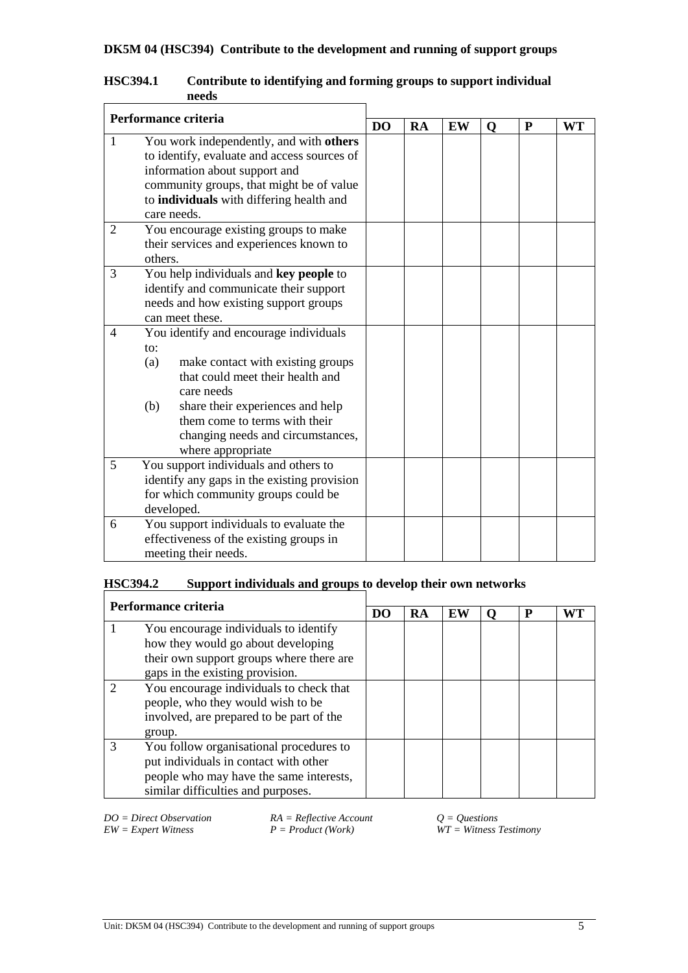| Performance criteria |                                                                                                                                                                                                                                                                                   |  |           |    |             |           |           |
|----------------------|-----------------------------------------------------------------------------------------------------------------------------------------------------------------------------------------------------------------------------------------------------------------------------------|--|-----------|----|-------------|-----------|-----------|
|                      |                                                                                                                                                                                                                                                                                   |  | <b>RA</b> | EW | $\mathbf 0$ | ${\bf P}$ | <b>WT</b> |
| 1                    | You work independently, and with others<br>to identify, evaluate and access sources of<br>information about support and<br>community groups, that might be of value<br>to individuals with differing health and<br>care needs.                                                    |  |           |    |             |           |           |
| 2                    | You encourage existing groups to make<br>their services and experiences known to<br>others.                                                                                                                                                                                       |  |           |    |             |           |           |
| 3                    | You help individuals and key people to<br>identify and communicate their support<br>needs and how existing support groups<br>can meet these.                                                                                                                                      |  |           |    |             |           |           |
| 4                    | You identify and encourage individuals<br>to:<br>make contact with existing groups<br>(a)<br>that could meet their health and<br>care needs<br>share their experiences and help<br>(b)<br>them come to terms with their<br>changing needs and circumstances,<br>where appropriate |  |           |    |             |           |           |
| 5                    | You support individuals and others to<br>identify any gaps in the existing provision<br>for which community groups could be<br>developed.                                                                                                                                         |  |           |    |             |           |           |
| 6                    | You support individuals to evaluate the<br>effectiveness of the existing groups in<br>meeting their needs.                                                                                                                                                                        |  |           |    |             |           |           |

## **HSC394.1 Contribute to identifying and forming groups to support individual needs**

# **HSC394.2 Support individuals and groups to develop their own networks**

| Performance criteria                                                                                              |                                         |  |    |    |   |    |
|-------------------------------------------------------------------------------------------------------------------|-----------------------------------------|--|----|----|---|----|
|                                                                                                                   |                                         |  | RA | EW | P | WТ |
|                                                                                                                   | You encourage individuals to identify   |  |    |    |   |    |
| how they would go about developing<br>their own support groups where there are<br>gaps in the existing provision. |                                         |  |    |    |   |    |
|                                                                                                                   |                                         |  |    |    |   |    |
|                                                                                                                   |                                         |  |    |    |   |    |
|                                                                                                                   | You encourage individuals to check that |  |    |    |   |    |
|                                                                                                                   | people, who they would wish to be       |  |    |    |   |    |
| involved, are prepared to be part of the                                                                          |                                         |  |    |    |   |    |
|                                                                                                                   | group.                                  |  |    |    |   |    |
|                                                                                                                   | You follow organisational procedures to |  |    |    |   |    |
|                                                                                                                   | put individuals in contact with other   |  |    |    |   |    |
|                                                                                                                   | people who may have the same interests, |  |    |    |   |    |
|                                                                                                                   | similar difficulties and purposes.      |  |    |    |   |    |

*EW = Expert Witness P = Product (Work) WT = Witness Testimony*

*DO = Direct Observation RA = Reflective Account Q = Questions*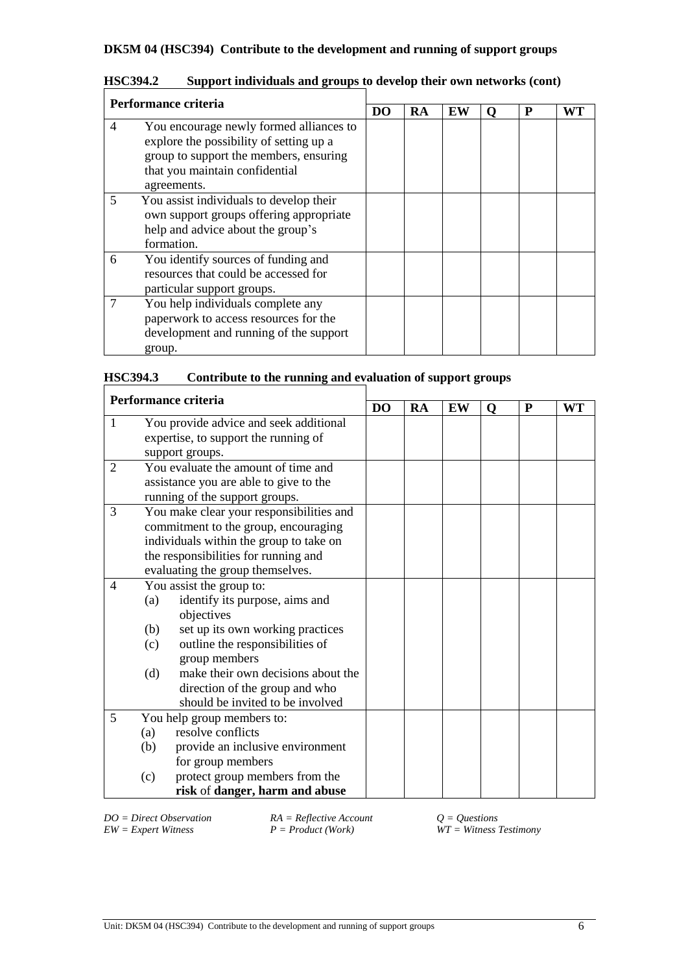|   | Performance criteria                                                                                                                                                          |    |    |    |   |   |    |
|---|-------------------------------------------------------------------------------------------------------------------------------------------------------------------------------|----|----|----|---|---|----|
|   |                                                                                                                                                                               | DO | RA | EW | 0 | P | WT |
| 4 | You encourage newly formed alliances to<br>explore the possibility of setting up a<br>group to support the members, ensuring<br>that you maintain confidential<br>agreements. |    |    |    |   |   |    |
| 5 | You assist individuals to develop their<br>own support groups offering appropriate<br>help and advice about the group's<br>formation.                                         |    |    |    |   |   |    |
| 6 | You identify sources of funding and<br>resources that could be accessed for<br>particular support groups.                                                                     |    |    |    |   |   |    |
| 7 | You help individuals complete any<br>paperwork to access resources for the<br>development and running of the support<br>group.                                                |    |    |    |   |   |    |

| <b>HSC394.2</b><br>Support individuals and groups to develop their own networks (cont) |  |
|----------------------------------------------------------------------------------------|--|
|----------------------------------------------------------------------------------------|--|

| <b>HSC394.3</b> |  | Contribute to the running and evaluation of support groups |
|-----------------|--|------------------------------------------------------------|
|                 |  |                                                            |

| Performance criteria |                                           |                |    |    |   |   |           |
|----------------------|-------------------------------------------|----------------|----|----|---|---|-----------|
|                      |                                           | D <sub>O</sub> | RA | EW | Q | P | <b>WT</b> |
| 1                    | You provide advice and seek additional    |                |    |    |   |   |           |
|                      | expertise, to support the running of      |                |    |    |   |   |           |
|                      | support groups.                           |                |    |    |   |   |           |
| 2                    | You evaluate the amount of time and       |                |    |    |   |   |           |
|                      | assistance you are able to give to the    |                |    |    |   |   |           |
|                      | running of the support groups.            |                |    |    |   |   |           |
| 3                    | You make clear your responsibilities and  |                |    |    |   |   |           |
|                      | commitment to the group, encouraging      |                |    |    |   |   |           |
|                      | individuals within the group to take on   |                |    |    |   |   |           |
|                      | the responsibilities for running and      |                |    |    |   |   |           |
|                      | evaluating the group themselves.          |                |    |    |   |   |           |
| 4                    | You assist the group to:                  |                |    |    |   |   |           |
|                      | identify its purpose, aims and<br>(a)     |                |    |    |   |   |           |
|                      | objectives                                |                |    |    |   |   |           |
|                      | set up its own working practices<br>(b)   |                |    |    |   |   |           |
|                      | outline the responsibilities of<br>(c)    |                |    |    |   |   |           |
|                      | group members                             |                |    |    |   |   |           |
|                      | make their own decisions about the<br>(d) |                |    |    |   |   |           |
|                      | direction of the group and who            |                |    |    |   |   |           |
|                      | should be invited to be involved          |                |    |    |   |   |           |
| 5                    | You help group members to:                |                |    |    |   |   |           |
|                      | resolve conflicts<br>(a)                  |                |    |    |   |   |           |
|                      | provide an inclusive environment<br>(b)   |                |    |    |   |   |           |
|                      | for group members                         |                |    |    |   |   |           |
|                      | protect group members from the<br>(c)     |                |    |    |   |   |           |
|                      | risk of danger, harm and abuse            |                |    |    |   |   |           |

*DO = Direct Observation RA = Reflective Account Q = Questions*

*EW = Expert Witness P = Product (Work) WT = Witness Testimony*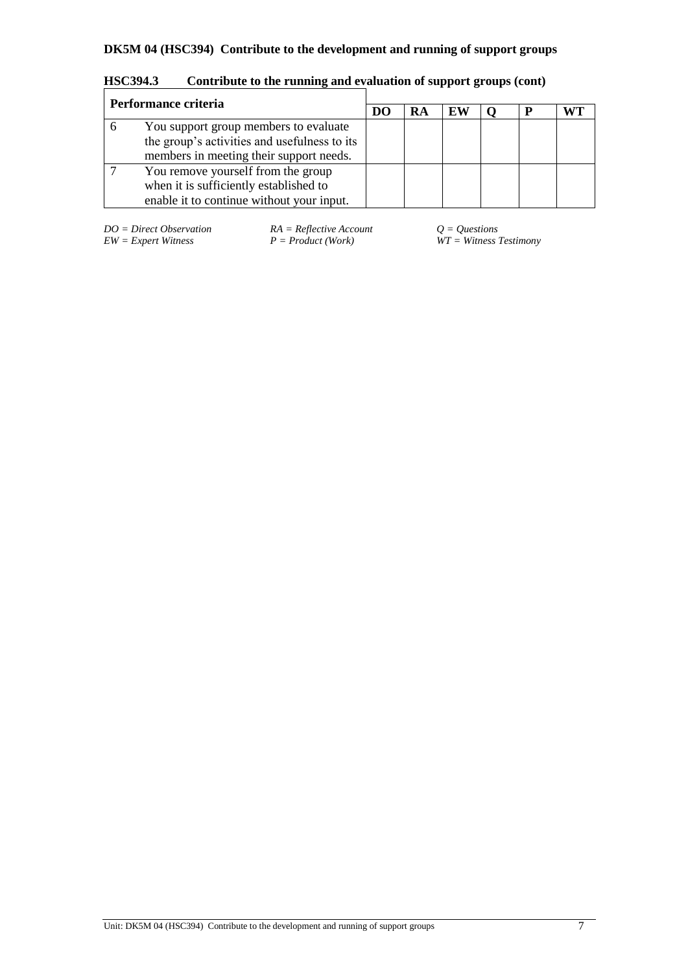| Performance criteria |                                                                                                                                  |  |    |    |  |  |
|----------------------|----------------------------------------------------------------------------------------------------------------------------------|--|----|----|--|--|
|                      |                                                                                                                                  |  | RA | EW |  |  |
|                      | You support group members to evaluate<br>the group's activities and usefulness to its<br>members in meeting their support needs. |  |    |    |  |  |
|                      | You remove yourself from the group<br>when it is sufficiently established to<br>enable it to continue without your input.        |  |    |    |  |  |

**HSC394.3 Contribute to the running and evaluation of support groups (cont)**

*DO* = *Direct Observation RA* = *Reflective Account*  $Q = Q$ *uestions* <br>*EW* = *Expert Witness* <br>*P* = *Product* (*Work*) *WT* = *Witness* <br>*WT* = *Witness* <br>*P* = *Product* (*Work*)

 $\overline{W}T = \textit{Witness}$  Testimony